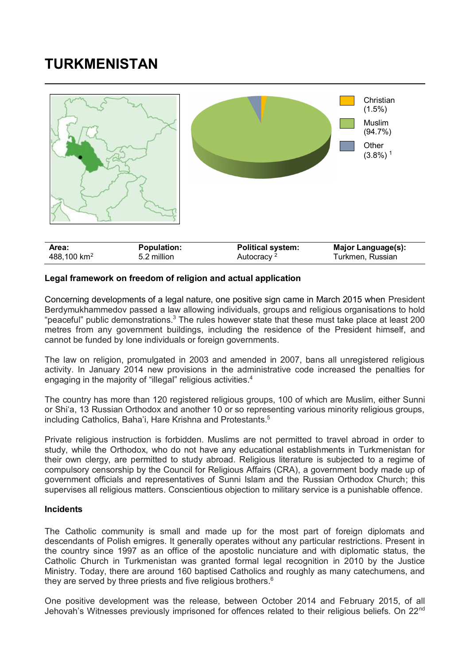## **TURKMENISTAN**



## **Legal framework on freedom of religion and actual application**

Concerning developments of a legal nature, one positive sign came in March 2015 when President Berdymukhammedov passed a law allowing individuals, groups and religious organisations to hold "peaceful" public demonstrations.<sup>3</sup> The rules however state that these must take place at least 200 metres from any government buildings, including the residence of the President himself, and cannot be funded by lone individuals or foreign governments.

The law on religion, promulgated in 2003 and amended in 2007, bans all unregistered religious activity. In January 2014 new provisions in the administrative code increased the penalties for engaging in the majority of "illegal" religious activities.<sup>4</sup>

The country has more than 120 registered religious groups, 100 of which are Muslim, either Sunni or Shi'a, 13 Russian Orthodox and another 10 or so representing various minority religious groups, including Catholics, Baha'i, Hare Krishna and Protestants.<sup>5</sup>

Private religious instruction is forbidden. Muslims are not permitted to travel abroad in order to study, while the Orthodox, who do not have any educational establishments in Turkmenistan for their own clergy, are permitted to study abroad. Religious literature is subjected to a regime of compulsory censorship by the Council for Religious Affairs (CRA), a government body made up of government officials and representatives of Sunni Islam and the Russian Orthodox Church; this supervises all religious matters. Conscientious objection to military service is a punishable offence.

## **Incidents**

The Catholic community is small and made up for the most part of foreign diplomats and descendants of Polish emigres. It generally operates without any particular restrictions. Present in the country since 1997 as an office of the apostolic nunciature and with diplomatic status, the Catholic Church in Turkmenistan was granted formal legal recognition in 2010 by the Justice Ministry. Today, there are around 160 baptised Catholics and roughly as many catechumens, and they are served by three priests and five religious brothers.<sup>6</sup>

One positive development was the release, between October 2014 and February 2015, of all Jehovah's Witnesses previously imprisoned for offences related to their religious beliefs. On 22<sup>nd</sup>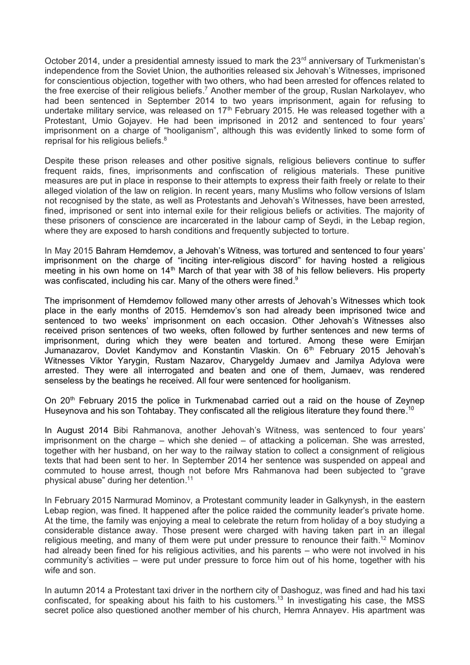October 2014, under a presidential amnesty issued to mark the 23<sup>rd</sup> anniversary of Turkmenistan's independence from the Soviet Union, the authorities released six Jehovah's Witnesses, imprisoned for conscientious objection, together with two others, who had been arrested for offences related to the free exercise of their religious beliefs.<sup>7</sup> Another member of the group, Ruslan Narkolayev, who had been sentenced in September 2014 to two years imprisonment, again for refusing to undertake military service, was released on  $17<sup>th</sup>$  February 2015. He was released together with a Protestant, Umio Gojayev. He had been imprisoned in 2012 and sentenced to four years' imprisonment on a charge of "hooliganism", although this was evidently linked to some form of reprisal for his religious beliefs.<sup>8</sup>

Despite these prison releases and other positive signals, religious believers continue to suffer frequent raids, fines, imprisonments and confiscation of religious materials. These punitive measures are put in place in response to their attempts to express their faith freely or relate to their alleged violation of the law on religion. In recent years, many Muslims who follow versions of Islam not recognised by the state, as well as Protestants and Jehovah's Witnesses, have been arrested, fined, imprisoned or sent into internal exile for their religious beliefs or activities. The majority of these prisoners of conscience are incarcerated in the labour camp of Seydi, in the Lebap region, where they are exposed to harsh conditions and frequently subjected to torture.

In May 2015 Bahram Hemdemov, a Jehovah's Witness, was tortured and sentenced to four years' imprisonment on the charge of "inciting inter-religious discord" for having hosted a religious meeting in his own home on 14<sup>th</sup> March of that year with 38 of his fellow believers. His property was confiscated, including his car. Many of the others were fined. $^9$ 

The imprisonment of Hemdemov followed many other arrests of Jehovah's Witnesses which took place in the early months of 2015. Hemdemov's son had already been imprisoned twice and sentenced to two weeks' imprisonment on each occasion. Other Jehovah's Witnesses also received prison sentences of two weeks, often followed by further sentences and new terms of imprisonment, during which they were beaten and tortured. Among these were Emirjan Jumanazarov, Dovlet Kandymov and Konstantin Vlaskin. On 6th February 2015 Jehovah's Witnesses Viktor Yarygin, Rustam Nazarov, Charygeldy Jumaev and Jamilya Adylova were arrested. They were all interrogated and beaten and one of them, Jumaev, was rendered senseless by the beatings he received. All four were sentenced for hooliganism.

On 20<sup>th</sup> February 2015 the police in Turkmenabad carried out a raid on the house of Zeynep Huseynova and his son Tohtabay. They confiscated all the religious literature they found there.<sup>10</sup>

In August 2014 Bibi Rahmanova, another Jehovah's Witness, was sentenced to four years' imprisonment on the charge – which she denied – of attacking a policeman. She was arrested, together with her husband, on her way to the railway station to collect a consignment of religious texts that had been sent to her. In September 2014 her sentence was suspended on appeal and commuted to house arrest, though not before Mrs Rahmanova had been subjected to "grave physical abuse" during her detention. 11

In February 2015 Narmurad Mominov, a Protestant community leader in Galkynysh, in the eastern Lebap region, was fined. It happened after the police raided the community leader's private home. At the time, the family was enjoying a meal to celebrate the return from holiday of a boy studying a considerable distance away. Those present were charged with having taken part in an illegal religious meeting, and many of them were put under pressure to renounce their faith.<sup>12</sup> Mominov had already been fined for his religious activities, and his parents – who were not involved in his community's activities – were put under pressure to force him out of his home, together with his wife and son.

In autumn 2014 a Protestant taxi driver in the northern city of Dashoguz, was fined and had his taxi confiscated, for speaking about his faith to his customers. <sup>13</sup> In investigating his case, the MSS secret police also questioned another member of his church, Hemra Annayev. His apartment was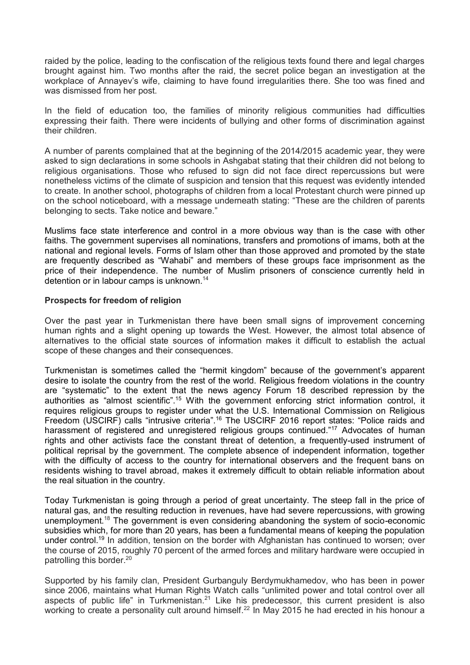raided by the police, leading to the confiscation of the religious texts found there and legal charges brought against him. Two months after the raid, the secret police began an investigation at the workplace of Annayev's wife, claiming to have found irregularities there. She too was fined and was dismissed from her post.

In the field of education too, the families of minority religious communities had difficulties expressing their faith. There were incidents of bullying and other forms of discrimination against their children.

A number of parents complained that at the beginning of the 2014/2015 academic year, they were asked to sign declarations in some schools in Ashgabat stating that their children did not belong to religious organisations. Those who refused to sign did not face direct repercussions but were nonetheless victims of the climate of suspicion and tension that this request was evidently intended to create. In another school, photographs of children from a local Protestant church were pinned up on the school noticeboard, with a message underneath stating: "These are the children of parents belonging to sects. Take notice and beware."

Muslims face state interference and control in a more obvious way than is the case with other faiths. The government supervises all nominations, transfers and promotions of imams, both at the national and regional levels. Forms of Islam other than those approved and promoted by the state are frequently described as "Wahabi" and members of these groups face imprisonment as the price of their independence. The number of Muslim prisoners of conscience currently held in detention or in labour camps is unknown.<sup>14</sup>

## **Prospects for freedom of religion**

Over the past year in Turkmenistan there have been small signs of improvement concerning human rights and a slight opening up towards the West. However, the almost total absence of alternatives to the official state sources of information makes it difficult to establish the actual scope of these changes and their consequences.

Turkmenistan is sometimes called the "hermit kingdom" because of the government's apparent desire to isolate the country from the rest of the world. Religious freedom violations in the country are "systematic" to the extent that the news agency Forum 18 described repression by the authorities as "almost scientific".<sup>15</sup> With the government enforcing strict information control, it requires religious groups to register under what the U.S. International Commission on Religious Freedom (USCIRF) calls "intrusive criteria".<sup>16</sup> The USCIRF 2016 report states: "Police raids and harassment of registered and unregistered religious groups continued."<sup>17</sup> Advocates of human rights and other activists face the constant threat of detention, a frequently-used instrument of political reprisal by the government. The complete absence of independent information, together with the difficulty of access to the country for international observers and the frequent bans on residents wishing to travel abroad, makes it extremely difficult to obtain reliable information about the real situation in the country.

Today Turkmenistan is going through a period of great uncertainty. The steep fall in the price of natural gas, and the resulting reduction in revenues, have had severe repercussions, with growing unemployment.<sup>18</sup> The government is even considering abandoning the system of socio-economic subsidies which, for more than 20 years, has been a fundamental means of keeping the population under control.<sup>19</sup> In addition, tension on the border with Afghanistan has continued to worsen; over the course of 2015, roughly 70 percent of the armed forces and military hardware were occupied in patrolling this border.<sup>20</sup>

Supported by his family clan, President Gurbanguly Berdymukhamedov, who has been in power since 2006, maintains what Human Rights Watch calls "unlimited power and total control over all aspects of public life" in Turkmenistan.<sup>21</sup> Like his predecessor, this current president is also working to create a personality cult around himself.<sup>22</sup> In May 2015 he had erected in his honour a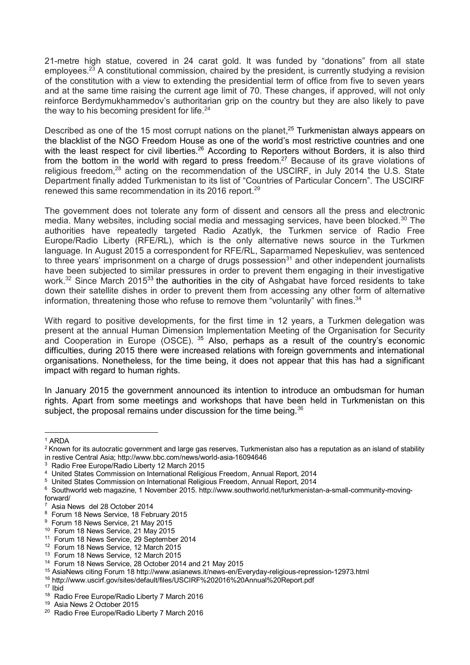21-metre high statue, covered in 24 carat gold. It was funded by "donations" from all state employees.<sup>23</sup> A constitutional commission, chaired by the president, is currently studying a revision of the constitution with a view to extending the presidential term of office from five to seven years and at the same time raising the current age limit of 70. These changes, if approved, will not only reinforce Berdymukhammedov's authoritarian grip on the country but they are also likely to pave the way to his becoming president for life.<sup>24</sup>

Described as one of the 15 most corrupt nations on the planet,<sup>25</sup> Turkmenistan always appears on the blacklist of the NGO Freedom House as one of the world's most restrictive countries and one with the least respect for civil liberties.<sup>26</sup> According to Reporters without Borders, it is also third from the bottom in the world with regard to press freedom.<sup>27</sup> Because of its grave violations of religious freedom,<sup>28</sup> acting on the recommendation of the USCIRF, in July 2014 the U.S. State Department finally added Turkmenistan to its list of "Countries of Particular Concern". The USCIRF renewed this same recommendation in its 2016 report.<sup>29</sup>

The government does not tolerate any form of dissent and censors all the press and electronic media. Many websites, including social media and messaging services, have been blocked.<sup>30</sup> The authorities have repeatedly targeted Radio Azatlyk, the Turkmen service of Radio Free Europe/Radio Liberty (RFE/RL), which is the only alternative news source in the Turkmen language. In August 2015 a correspondent for RFE/RL, Saparmamed Nepeskuliev, was sentenced to three years' imprisonment on a charge of drugs possession $31$  and other independent journalists have been subjected to similar pressures in order to prevent them engaging in their investigative work.<sup>32</sup> Since March 2015<sup>33</sup> the authorities in the city of Ashgabat have forced residents to take down their satellite dishes in order to prevent them from accessing any other form of alternative information, threatening those who refuse to remove them "voluntarily" with fines.<sup>34</sup>

With regard to positive developments, for the first time in 12 years, a Turkmen delegation was present at the annual Human Dimension Implementation Meeting of the Organisation for Security and Cooperation in Europe (OSCE). <sup>35</sup> Also, perhaps as a result of the country's economic difficulties, during 2015 there were increased relations with foreign governments and international organisations. Nonetheless, for the time being, it does not appear that this has had a significant impact with regard to human rights.

In January 2015 the government announced its intention to introduce an ombudsman for human rights. Apart from some meetings and workshops that have been held in Turkmenistan on this subject, the proposal remains under discussion for the time being.<sup>36</sup>

<sup>-</sup><sup>1</sup> ARDA

<sup>&</sup>lt;sup>2</sup> Known for its autocratic government and large gas reserves, Turkmenistan also has a reputation as an island of stability in restive Central Asia; http://www.bbc.com/news/world-asia-16094646

<sup>3</sup> Radio Free Europe/Radio Liberty 12 March 2015

<sup>4</sup> United States Commission on International Religious Freedom, Annual Report, 2014

<sup>&</sup>lt;sup>5</sup> United States Commission on International Religious Freedom, Annual Report, 2014

 $^6$  Southworld web magazine, 1 November 2015. http://www.southworld.net/turkmenistan-a-small-community-movingforward/

<sup>7</sup> Asia News del 28 October 2014

<sup>&</sup>lt;sup>8</sup> Forum 18 News Service, 18 February 2015

<sup>&</sup>lt;sup>9</sup> Forum 18 News Service, 21 May 2015

<sup>10</sup> Forum 18 News Service, 21 May 2015

<sup>11</sup> Forum 18 News Service, 29 September 2014

<sup>12</sup> Forum 18 News Service, 12 March 2015

<sup>&</sup>lt;sup>13</sup> Forum 18 News Service, 12 March 2015

<sup>14</sup> Forum 18 News Service, 28 October 2014 and 21 May 2015

<sup>15</sup> AsiaNews citing Forum 18 http://www.asianews.it/news-en/Everyday-religious-repression-12973.html

<sup>16</sup> http://www.uscirf.gov/sites/default/files/USCIRF%202016%20Annual%20Report.pdf

 $17$  Ibid

<sup>&</sup>lt;sup>18</sup> Radio Free Europe/Radio Liberty 7 March 2016

<sup>19</sup> Asia News 2 October 2015

<sup>&</sup>lt;sup>20</sup> Radio Free Europe/Radio Liberty 7 March 2016